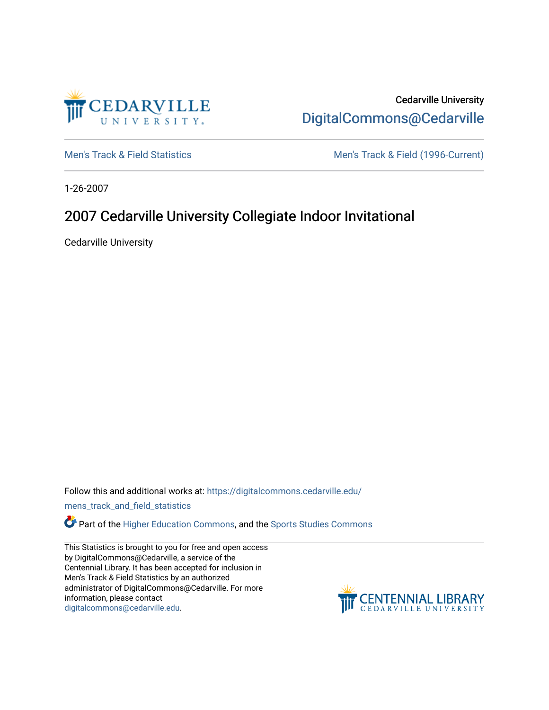

Cedarville University [DigitalCommons@Cedarville](https://digitalcommons.cedarville.edu/) 

[Men's Track & Field Statistics](https://digitalcommons.cedarville.edu/mens_track_and_field_statistics) [Men's Track & Field \(1996-Current\)](https://digitalcommons.cedarville.edu/mens_track_and_field) 

1-26-2007

## 2007 Cedarville University Collegiate Indoor Invitational

Cedarville University

Follow this and additional works at: [https://digitalcommons.cedarville.edu/](https://digitalcommons.cedarville.edu/mens_track_and_field_statistics?utm_source=digitalcommons.cedarville.edu%2Fmens_track_and_field_statistics%2F180&utm_medium=PDF&utm_campaign=PDFCoverPages)

[mens\\_track\\_and\\_field\\_statistics](https://digitalcommons.cedarville.edu/mens_track_and_field_statistics?utm_source=digitalcommons.cedarville.edu%2Fmens_track_and_field_statistics%2F180&utm_medium=PDF&utm_campaign=PDFCoverPages)

**Part of the [Higher Education Commons,](http://network.bepress.com/hgg/discipline/1245?utm_source=digitalcommons.cedarville.edu%2Fmens_track_and_field_statistics%2F180&utm_medium=PDF&utm_campaign=PDFCoverPages) and the Sports Studies Commons** 

This Statistics is brought to you for free and open access by DigitalCommons@Cedarville, a service of the Centennial Library. It has been accepted for inclusion in Men's Track & Field Statistics by an authorized administrator of DigitalCommons@Cedarville. For more information, please contact [digitalcommons@cedarville.edu](mailto:digitalcommons@cedarville.edu).

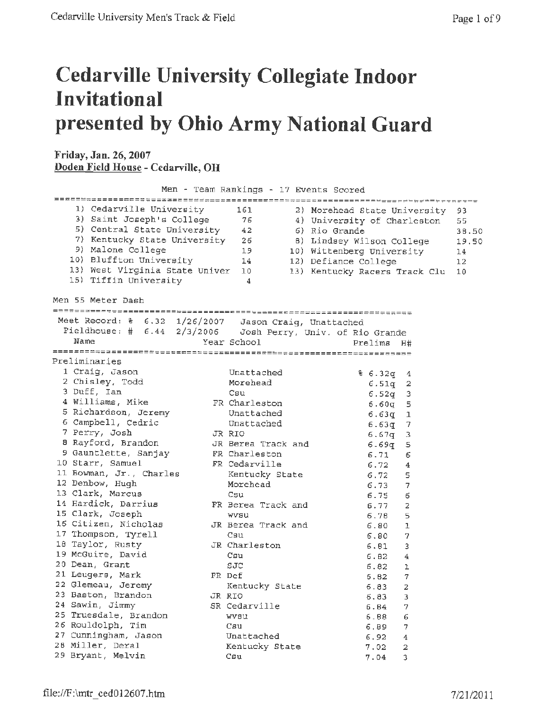## **Cedarville University Collegiate Indoor Invitational presented by Ohio Army National Guard**

## **Friday, Jan. 26, 2007 Doden Field House - Cedarville, OH**

**Men** - Team Rankings - 17 Events Scored 1) Cedarville University 161 2) Morehead State University 3) Saint Joseph's College 76 4) University of Charleston 5) Central State University 42 6) Rio Grande 7) Kentucky State University 26 8) Lindsey Wilson College 9) Malone College 19 10 Wittenberg University 10) Bluffton University 14 12) Defiance College 13) West Virginia State Univer 10 13) Kentucky Racers Track Clu 15) Tiffin University <sup>4</sup> Men 55 Meter Dash Meet Record: % 6.32 1/26/2007 Jason Craig, Unattached Fieldhouse:# 6.44 2/3/2006 Josh Perry, Univ. of Rio Grande Name Year School Prelims H# *========~;~=======~;;======~;;;:=========~=~;=:=========~;;========*  Preliminaries 1 Craig, Jason Unattached % 6. 32q <sup>4</sup> 2 Chisley, Todd Morehead 6.51q 2 3 Duff, Ian Csu Csu 6.52q 3 **<sup>4</sup>**Williams, Mike FR Charleston 6.60q <sup>5</sup> <sup>5</sup>Richardson, Jeremy Unattached 6.63q 1 6 Campbell, Cedric Unattached 6.63g 7 7 Perry, Josh JR RIO 6. 67q <sup>3</sup> <sup>8</sup>Rayford, Brandon JR Berea Track and 6.69q 5 9 Gauntlette, Sanjay FR Charleston 6.71 6 10 Starr, Samuel FR Cedarville 6.72 4 10 Bourr, Samuel 11 Bowman, Jr., Charles Kentucky State 6.72 5 12 Denbow, Hugh Morehead 6.73 7 13 Clark, Marcus Csu Csu Csu 6.75 6 14 Hardick, Darrius FR Berea Track and 6.77 2 15 Clark, Joseph Wvsu Wvsu 6.78 5 16 Citizen, Nicholas JR Berea Track and 6.80 1 17 Thompson, Tyrell Csu Csu 6.80 7 18 Taylor, Rusty JR Charleston 6.81 3 19 McGuire, David Csu Csu 6.82 4 20 Dean, Grant SJC 6.82 1 21 Leugers, Mark FR Def 6.82 7 22 Glemeau, Jeremy Kentucky State 6.83 2 23 Baston, Brandon JR RIO 6.83 3 24 Sawin, Jimmy SR Cedarville 6.84 7 25 Truesdale, Brandon wvsu 6.88 6 26 Rouldolph, Tim Csu Csu 6.89 7 27 Cunningham, Jason Unattached 6. 92 4 28 Miller, Deral Kentucky State 7.02 2 29 Bryant, Melvin Csu Csu 7.04 3 93 55 38.50 19.50 14 12 10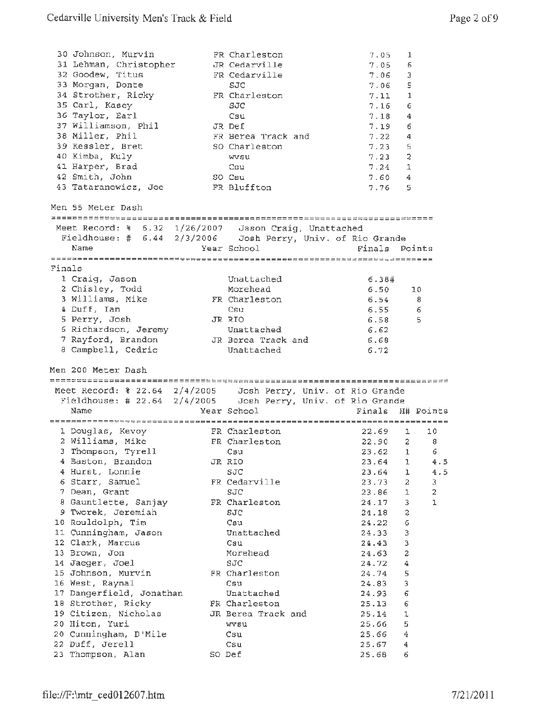|        | 30 Johnson, Murvin<br>31 Lehman, Christopher<br>32 Goodew, Titus<br>33 Morgan, Donte<br>34 Strother, Ricky<br>35 Carl, Kasey<br>36 Taylor, Earl<br>37 Williamson, Phil<br>38 Miller, Phil<br>39 Kessler, Bret<br>40 Kimba, Kuly<br>41 Harper, Brad<br>42 Smith, John<br>43 Tataranowicz, Joe<br>Men 55 Meter Dash | FR Charleston<br>JR Cedarville<br>FR Cedarville<br>SJC<br>FR Charleston<br>SJC<br>Csu<br>JR Def<br>FR Berea Track and<br>SO Charleston<br>wysu<br>Csu<br>SO Csu<br>FR Bluffton | 7.05<br>7.05<br>7.06<br>7.06<br>7.11<br>7.16<br>7.18<br>7.19<br>7.22<br>7.23<br>7.23<br>$7.24$ 1<br>7.60<br>7.76 | 1<br>6<br>-3<br>5<br>1<br>6<br>4<br>6<br>4<br>5<br>2<br>4<br>5 |
|--------|-------------------------------------------------------------------------------------------------------------------------------------------------------------------------------------------------------------------------------------------------------------------------------------------------------------------|--------------------------------------------------------------------------------------------------------------------------------------------------------------------------------|------------------------------------------------------------------------------------------------------------------|----------------------------------------------------------------|
|        |                                                                                                                                                                                                                                                                                                                   |                                                                                                                                                                                |                                                                                                                  |                                                                |
|        | Meet Record: % 6.32 1/26/2007 Jason Craig, Unattached<br>Fieldhouse: # 6.44 2/3/2006 Josh Perry, Univ. of Rio Grande<br>Name                                                                                                                                                                                      | Year School                                                                                                                                                                    | Finals Points                                                                                                    |                                                                |
| Finals |                                                                                                                                                                                                                                                                                                                   |                                                                                                                                                                                |                                                                                                                  |                                                                |
|        | 1 Craig, Jason<br>2 Chisley, Todd<br>3 Williams, Mike<br>4 Duff, Ian                                                                                                                                                                                                                                              | Unattached<br>Morehead<br>FR Charleston<br>Csu                                                                                                                                 | 6.38#<br>6.50<br>6.54<br>6.55                                                                                    | 10<br>8<br>6                                                   |
|        | 5 Perry, Josh                                                                                                                                                                                                                                                                                                     | JR RIO                                                                                                                                                                         | 6.58                                                                                                             | 5                                                              |
|        | 6 Richardson, Jeremy                                                                                                                                                                                                                                                                                              | Unattached                                                                                                                                                                     | 6.62                                                                                                             |                                                                |
|        | 7 Rayford, Brandon                                                                                                                                                                                                                                                                                                | JR Berea Track and                                                                                                                                                             | 6.68                                                                                                             |                                                                |
|        | 8 Campbell, Cedric                                                                                                                                                                                                                                                                                                | Unattached                                                                                                                                                                     | 6.72                                                                                                             |                                                                |
|        | Men 200 Meter Dash                                                                                                                                                                                                                                                                                                |                                                                                                                                                                                |                                                                                                                  |                                                                |
|        |                                                                                                                                                                                                                                                                                                                   |                                                                                                                                                                                |                                                                                                                  |                                                                |
|        | Meet Record: % 22.64 2/4/2005 Josh Perry, Univ. of Rio Grande                                                                                                                                                                                                                                                     |                                                                                                                                                                                |                                                                                                                  |                                                                |
|        | Fieldhouse: # 22.64 2/4/2005    Josh Perry, Univ. of Rio Grande                                                                                                                                                                                                                                                   |                                                                                                                                                                                |                                                                                                                  |                                                                |
|        | Name                                                                                                                                                                                                                                                                                                              | Year School                                                                                                                                                                    |                                                                                                                  | Finals H# Points                                               |
|        |                                                                                                                                                                                                                                                                                                                   |                                                                                                                                                                                |                                                                                                                  |                                                                |
|        | 1 Douglas, Kevoy                                                                                                                                                                                                                                                                                                  | FR Charleston                                                                                                                                                                  | 22.69                                                                                                            | 10<br>ı                                                        |
|        | 2 Williams, Mike                                                                                                                                                                                                                                                                                                  | FR Charleston                                                                                                                                                                  | 22.90                                                                                                            | $\mathbf{2}$<br>8                                              |
|        | 3 Thompson, Tyrell                                                                                                                                                                                                                                                                                                | Csu                                                                                                                                                                            | 23.62                                                                                                            | 6.<br>1                                                        |
|        | 4 Baston, Brandon                                                                                                                                                                                                                                                                                                 | JR RIO<br>SJC                                                                                                                                                                  | 23.64<br>23.64                                                                                                   | 1<br>4.5<br>4.5<br>ı                                           |
|        | 4 Hurst, Lonnie<br>6 Starr, Samuel                                                                                                                                                                                                                                                                                | FR Cedarville                                                                                                                                                                  | 23.73                                                                                                            | $\mathbf{2}^-$<br>З                                            |
|        | 7 Dean, Grant                                                                                                                                                                                                                                                                                                     | SJC                                                                                                                                                                            | 23.86                                                                                                            | $\overline{a}$<br>1                                            |
|        | 8 Gauntlette, Sanjay                                                                                                                                                                                                                                                                                              | FR Charleston                                                                                                                                                                  | 24.17                                                                                                            | 3<br>ı                                                         |
|        | 9 Tworek, Jeremiah                                                                                                                                                                                                                                                                                                | SJC                                                                                                                                                                            | 24.18                                                                                                            | 2                                                              |
|        | 10 Rouldolph, Tim                                                                                                                                                                                                                                                                                                 | Csu                                                                                                                                                                            | 24.22                                                                                                            | 6                                                              |
|        | 11 Cunningham, Jason                                                                                                                                                                                                                                                                                              | Unattached                                                                                                                                                                     | 24.33                                                                                                            | 3                                                              |
|        | 12 Clark, Marcus                                                                                                                                                                                                                                                                                                  | Csu                                                                                                                                                                            | 24.43                                                                                                            | з                                                              |
|        | 13 Brown, Jon                                                                                                                                                                                                                                                                                                     | Morehead<br>SJC                                                                                                                                                                | 24.63                                                                                                            | 2                                                              |
|        | 14 Jaeger, Joel<br>15 Johnson, Murvin                                                                                                                                                                                                                                                                             | FR Charleston                                                                                                                                                                  | 24.72<br>24.74                                                                                                   | 4<br>5                                                         |
|        | 16 West, Raynal                                                                                                                                                                                                                                                                                                   | Csu                                                                                                                                                                            | 24.83                                                                                                            | 3                                                              |
|        | 17 Dangerfield, Jonathan                                                                                                                                                                                                                                                                                          | Unattached                                                                                                                                                                     | 24.93                                                                                                            | 6                                                              |
|        | 18 Strother, Ricky                                                                                                                                                                                                                                                                                                | FR Charleston                                                                                                                                                                  | 25.13                                                                                                            | 6                                                              |
|        | 19 Citizen, Nicholas                                                                                                                                                                                                                                                                                              | JR Berea Track and                                                                                                                                                             | 25.14                                                                                                            | 1                                                              |
|        | 20 Hiton, Yuri                                                                                                                                                                                                                                                                                                    | wvsu                                                                                                                                                                           | 25.66                                                                                                            | 5.                                                             |
|        | 20 Cunningham, D'Mile                                                                                                                                                                                                                                                                                             | Csu                                                                                                                                                                            | 25.66                                                                                                            | 4                                                              |
|        | 22 Duff, Jerell<br>23 Thompson, Alan                                                                                                                                                                                                                                                                              | Csu<br>SO Def                                                                                                                                                                  | 25.67<br>25.68                                                                                                   | 4<br>6                                                         |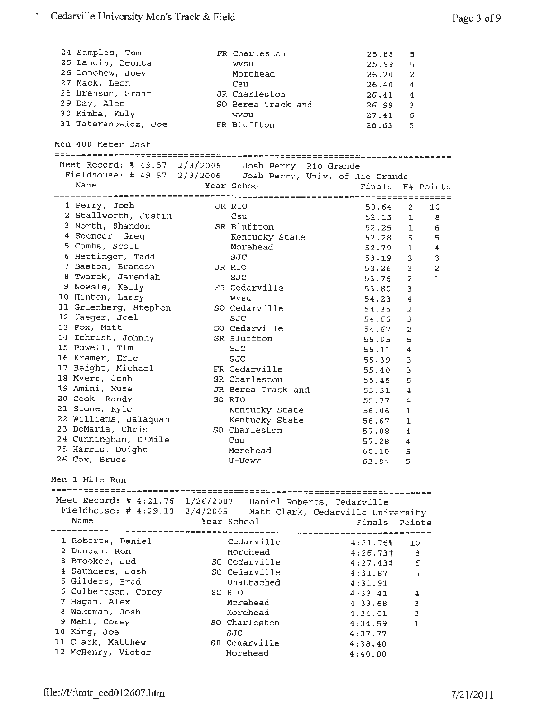$\ddot{\phantom{0}}$ 

| 24 Samples, Tom                                                                                                                  | FR Charleston                   | 25.88            | 5                   |                         |
|----------------------------------------------------------------------------------------------------------------------------------|---------------------------------|------------------|---------------------|-------------------------|
| 25 Landis, Deonta                                                                                                                | wvsu                            | 25.99            | 5                   |                         |
| 26 Donohew, Joey                                                                                                                 | Morehead                        | 26.20            | $\overline{2}$      |                         |
| 27 Mack, Leon                                                                                                                    | Csu                             | 26.40            | 4                   |                         |
| 28 Brenson, Grant                                                                                                                | JR Charleston                   | 26.41            | 4                   |                         |
| 29 Day, Alec                                                                                                                     | SO Berea Track and              | 26.99            | 3                   |                         |
| 30 Kimba, Kuly                                                                                                                   | wvsu                            | 27.41            | 6                   |                         |
| 31 Tataranowicz, Joe                                                                                                             | FR Bluffton                     | 28.63            | 5                   |                         |
|                                                                                                                                  |                                 |                  |                     |                         |
| Men 400 Meter Dash                                                                                                               |                                 |                  |                     |                         |
|                                                                                                                                  |                                 |                  |                     |                         |
| Meet Record: $\frac{1}{2}$ 49.57 2/3/2006 Josh Perry, Rio Grande<br>Fieldhouse: # 49.57 2/3/2006 Josh Perry, Univ. of Rio Grande |                                 |                  |                     |                         |
|                                                                                                                                  |                                 |                  |                     |                         |
| Name                                                                                                                             | Year School                     | Finals H# Points |                     |                         |
|                                                                                                                                  |                                 |                  |                     |                         |
| 1 Perry, Josh                                                                                                                    | JR RIO                          | 50.64            | 2                   | 10                      |
| 2 Stallworth, Justin                                                                                                             | Csu                             | 52.15            | ı                   | 8                       |
| 3 North, Shandon                                                                                                                 | SR Bluffton                     | 52.25            | ı                   | 6                       |
| 4 Spencer, Greg                                                                                                                  | Kentucky State                  | 52.28            | 5                   | 5                       |
| 5 Combs, Scott                                                                                                                   | Morehead                        | 52.79            | 1                   | $\overline{\mathbf{4}}$ |
| 6 Hettinger, Tadd                                                                                                                | SJC                             | 53.19            | 3                   | 3                       |
| 7 Baston, Brandon                                                                                                                | JR RIO                          | 53.26            | 3                   | $\mathbf 2$             |
| 8 Tworek, Jeremiah                                                                                                               | SJC                             | 53.76            | $\overline{a}$      | $\mathbf{1}$            |
| 9 Nowels, Kelly                                                                                                                  | FR Cedarville                   | 53.80            | 3                   |                         |
| 10 Hinton, Larry                                                                                                                 | <b>WV6U</b>                     | 54.23            | 4                   |                         |
| 11 Gruenberg, Stephen                                                                                                            | SO Cedarville                   | 54.35            | 2                   |                         |
| 12 Jaeger, Joel                                                                                                                  | SJC                             | 54.66            | 3                   |                         |
| 13 Fox, Matt                                                                                                                     | SO Cedarville                   | 54.67            | 2                   |                         |
| 14 Ichrist, Johnny                                                                                                               | SR Bluffton                     | 55.05            | 5                   |                         |
| 15 Powell, Tim                                                                                                                   | SJC                             | 55.11            | 4                   |                         |
| 16 Kramer, Eric                                                                                                                  | SJC                             |                  |                     |                         |
| 17 Beight, Michael                                                                                                               | FR Cedarville                   | 55.39            | 3                   |                         |
| 18 Myers, Josh                                                                                                                   | SR Charleston                   | 55.40            | 3                   |                         |
| 19 Amini, Muza                                                                                                                   | JR Berea Track and              | 55.45            | 5                   |                         |
| 20 Cook, Randy                                                                                                                   | SO RIO                          | 55.51            | 4                   |                         |
| 21 Stone, Kyle                                                                                                                   |                                 | 55.77            | 4                   |                         |
| 22 Williams, Jalaquan                                                                                                            | Kentucky State                  | 56.06            | 1                   |                         |
| 23 DeMaria, Chris                                                                                                                | Kentucky State<br>SO Charleston | 56.67            | $\mathbf 1$         |                         |
| 24 Cunningham, D'Mile                                                                                                            |                                 | 57.08            | 4                   |                         |
| 25 Harris, Dwight                                                                                                                | Csu                             | 57.28            | 4                   |                         |
| 26 Cox, Bruce                                                                                                                    | Morehead                        | 60.10 5          |                     |                         |
|                                                                                                                                  | U-Ucwv                          | 63.84            | 5                   |                         |
| Men 1 Mile Run                                                                                                                   |                                 |                  |                     |                         |
|                                                                                                                                  |                                 |                  |                     |                         |
| Meet Record: \$ 4:21.76 1/26/2007 Daniel Roberts, Cedarville                                                                     |                                 |                  |                     |                         |
| Fieldhouse: # 4:29.10 2/4/2005 Matt Clark, Cedarville University                                                                 |                                 |                  |                     |                         |
| Name                                                                                                                             | Year School                     | Finals           | Points              |                         |
|                                                                                                                                  |                                 |                  |                     |                         |
| 1 Roberts, Daniel                                                                                                                | Cedarville                      | 4:21.76%         | 10                  |                         |
| 2 Duncan, Ron                                                                                                                    | Morehead                        | 4:26.73#         | 8                   |                         |
| 3 Brooker, Jud                                                                                                                   | SO Cedarville                   | 4:27.43#         | 6                   |                         |
| 4 Saunders, Josh                                                                                                                 | SO Cedarville                   | 4:31.87          | 5                   |                         |
| 5 Gilders, Brad                                                                                                                  | Unattached                      | 4:31.91          |                     |                         |
| 6 Culbertson, Corey                                                                                                              | SO RIO                          | 4:33.41          |                     |                         |
| 7 Hagan, Alex                                                                                                                    | Morehead                        |                  | 4                   |                         |
| 8 Wakeman, Josh                                                                                                                  | Morehead                        | 4:33.68          | 3<br>$\overline{2}$ |                         |
| 9 Mehl, Corey                                                                                                                    | SO Charleston                   | 4:34.01          | 1                   |                         |
| 10 King, Joe                                                                                                                     | SJC                             | 4:34.59          |                     |                         |
| 11 Clark, Matthew                                                                                                                | SR Cedarville                   | 4:37.77          |                     |                         |
| 12 McHenry, Victor                                                                                                               | Morehead                        | 4:38.40          |                     |                         |
|                                                                                                                                  |                                 | 4:40.00          |                     |                         |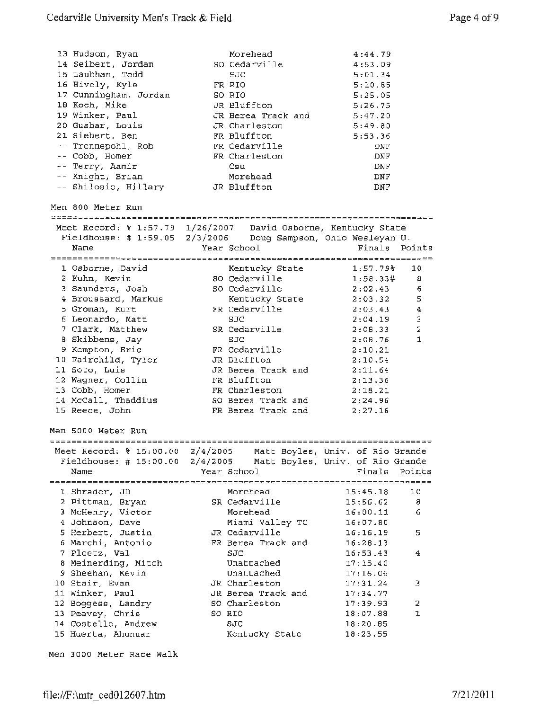| 13 Hudson, Ryan<br>14 Seibert, Jordan<br>15 Laubhan, Todd<br>16 Hively, Kyle<br>17 Cunningham, Jordan<br>18 Koch, Mike<br>19 Winker, Paul<br>20 Gusbar, Louis<br>21 Siebert, Ben<br>-- Trennepohl, Rob<br>-- Cobb, Homer<br>-- Terry, Aamir<br>-- Knight, Brian<br>-- Shilosio, Hillary JR Bluffton | Morehead<br>SO Cedarville<br>SJC<br>FR RIO<br>SO RIO<br>JR Bluffton<br>JR Berea Track and<br>JR Charleston<br>FR Bluffton<br>FR Cedarville<br>FR Charleston<br>Csu<br>Morehead | 4:44.79<br>4:53.09<br>5:01.34<br>5:10.85<br>5:25.05<br>5:26.75<br>5:47.20<br>5:49.80<br>5:53.36<br>DNF<br><b>DNF</b><br><b>DNF</b><br>DNF<br>DNF |                    |
|-----------------------------------------------------------------------------------------------------------------------------------------------------------------------------------------------------------------------------------------------------------------------------------------------------|--------------------------------------------------------------------------------------------------------------------------------------------------------------------------------|--------------------------------------------------------------------------------------------------------------------------------------------------|--------------------|
| Men 800 Meter Run                                                                                                                                                                                                                                                                                   |                                                                                                                                                                                |                                                                                                                                                  |                    |
| Meet Record: \$ 1:57.79 1/26/2007 David Osborne, Kentucky State<br>Fieldhouse: # 1:59.05 2/3/2006 Doug Sampson, Ohio Wesleyan U.<br>Name                                                                                                                                                            | Year School                                                                                                                                                                    | Finals Points                                                                                                                                    |                    |
| 1 Osborne, David                                                                                                                                                                                                                                                                                    | Kentucky State 1:57.79%                                                                                                                                                        |                                                                                                                                                  | 10                 |
| 2 Kuhn, Kevin                                                                                                                                                                                                                                                                                       | SO Cedarville                                                                                                                                                                  | 1:58.33#                                                                                                                                         | 8                  |
| 3 Saunders, Josh                                                                                                                                                                                                                                                                                    | SO Cedarville                                                                                                                                                                  | 2:02.43                                                                                                                                          | 6                  |
| 4 Broussard, Markus                                                                                                                                                                                                                                                                                 | Kentucky State                                                                                                                                                                 | 2:03.32                                                                                                                                          | 5                  |
| 5 Groman, Kurt                                                                                                                                                                                                                                                                                      | FR Cedarville                                                                                                                                                                  | 2:03.43                                                                                                                                          | $\overline{\bf 4}$ |
| 6 Leonardo, Matt                                                                                                                                                                                                                                                                                    | SJC                                                                                                                                                                            | 2:04.19                                                                                                                                          | 3                  |
| 7 Clark, Matthew                                                                                                                                                                                                                                                                                    | SR Cedarville                                                                                                                                                                  | 2:08.33                                                                                                                                          | $\overline{a}$     |
| 8 Skibbens, Jay                                                                                                                                                                                                                                                                                     | SJC.                                                                                                                                                                           | 2:08.76                                                                                                                                          | $\mathbf{1}$       |
| 9 Kempton, Eric                                                                                                                                                                                                                                                                                     | FR Cedarville                                                                                                                                                                  | 2:10.21                                                                                                                                          |                    |
| 10 Fairchild, Tyler                                                                                                                                                                                                                                                                                 | JR Bluffton                                                                                                                                                                    | 2:10.54                                                                                                                                          |                    |
| 11 Soto, Luis<br>12 Wagner, Collin                                                                                                                                                                                                                                                                  | JR Berea Track and<br>FR Bluffton                                                                                                                                              | 2:11.64                                                                                                                                          |                    |
| 13 Cobb, Homer                                                                                                                                                                                                                                                                                      | FR Charleston                                                                                                                                                                  | 2:13.36<br>2:18.21                                                                                                                               |                    |
| 14 McCall, Thaddius                                                                                                                                                                                                                                                                                 | SO Berea Track and                                                                                                                                                             | 2:24.96                                                                                                                                          |                    |
| 15 Reece, John                                                                                                                                                                                                                                                                                      | FR Berea Track and                                                                                                                                                             | 2:27.16                                                                                                                                          |                    |
| Men 5000 Meter Run<br>Meet Record: % 15:00.00 2/4/2005<br>Fieldhouse: # $15:00.00$ $2/4/2005$                                                                                                                                                                                                       |                                                                                                                                                                                | Matt Boyles, Univ. of Rio Grande<br>Matt Boyles, Univ. of Rio Grande                                                                             |                    |
| Name                                                                                                                                                                                                                                                                                                | Year School                                                                                                                                                                    | Finals                                                                                                                                           | Points             |
| 1 Shrader, JD                                                                                                                                                                                                                                                                                       | Morehead                                                                                                                                                                       | 15:45.18                                                                                                                                         | 10                 |
| 2 Pittman, Bryan                                                                                                                                                                                                                                                                                    | SR Cedarville                                                                                                                                                                  | 15:56.62                                                                                                                                         | 8                  |
| 3 McHenry, Victor                                                                                                                                                                                                                                                                                   | Morehead                                                                                                                                                                       | 16:00.11                                                                                                                                         | 6                  |
| 4 Johnson, Dave                                                                                                                                                                                                                                                                                     | Miami Valley TC                                                                                                                                                                | 16:07.80                                                                                                                                         |                    |
| 5 Herbert, Justin                                                                                                                                                                                                                                                                                   | JR Cedarville                                                                                                                                                                  | 16:16.19                                                                                                                                         | 5                  |
| 6 Marchi, Antonio                                                                                                                                                                                                                                                                                   | FR Berea Track and                                                                                                                                                             | 16:28.13                                                                                                                                         |                    |
| 7 Ploetz, Val                                                                                                                                                                                                                                                                                       | SJC                                                                                                                                                                            | 16:53.43                                                                                                                                         | 4                  |
| 8 Meinerding, Mitch                                                                                                                                                                                                                                                                                 | Unattached                                                                                                                                                                     | 17:15.40                                                                                                                                         |                    |
| 9 Sheehan, Kevin                                                                                                                                                                                                                                                                                    | Unattached                                                                                                                                                                     | 17:16.06                                                                                                                                         |                    |
| 10 Stair, Evan                                                                                                                                                                                                                                                                                      | JR Charleston                                                                                                                                                                  | 17:31.24                                                                                                                                         | з                  |
| 11 Winker, Paul                                                                                                                                                                                                                                                                                     | JR Berea Track and                                                                                                                                                             | 17:34.77                                                                                                                                         |                    |
| 12 Boggess, Landry<br>13 Peavey, Chris                                                                                                                                                                                                                                                              | SO Charleston<br>SO RIO                                                                                                                                                        | 17:39.93<br>18:07.88                                                                                                                             | 2<br>ı             |
| 14 Costello, Andrew                                                                                                                                                                                                                                                                                 | SJC                                                                                                                                                                            | 18:20.65                                                                                                                                         |                    |
| 15 Huerta, Ahunuar                                                                                                                                                                                                                                                                                  | Kentucky State                                                                                                                                                                 | 18:23.55                                                                                                                                         |                    |
|                                                                                                                                                                                                                                                                                                     |                                                                                                                                                                                |                                                                                                                                                  |                    |

Men 3000 Meter Race Walk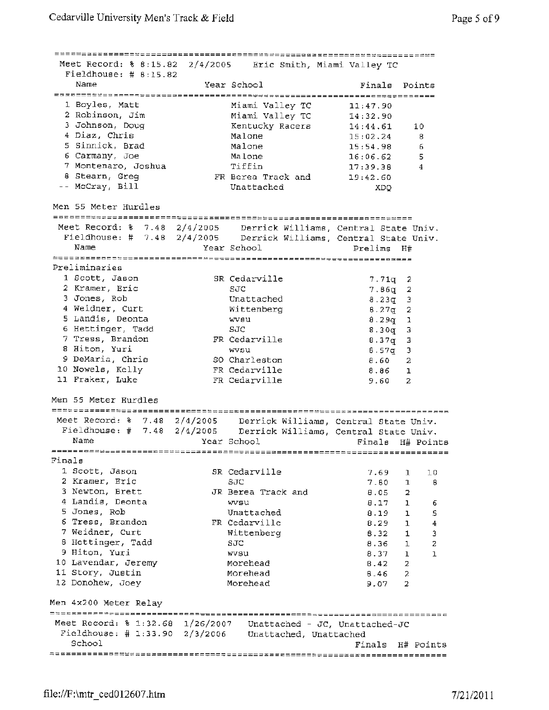| Fieldhouse: $\#$ 8:15.82<br>1 Boyles, Matt<br>2 Robinson, Jim<br>3 Johnson, Doug<br>4 Diaz, Chris<br>5 Sinnick, Brad<br>6 Carmany, Joe<br>7 Montenaro, Joshua<br>8 Stearn, Greg<br>-- McCray, Bill<br>Men 55 Meter Hurdles<br>1 Scott, Jason<br>2 Kramer, Eric<br>4 Weidner, Curt<br>5 Landis, Deonta<br>6 Hettinger, Tadd<br>7 Tress, Brandon | Year School                         | Meet Record: % 8:15.82 2/4/2005 Eric Smith, Miami Valley TC<br>Year School<br>Miami Valley TC<br>Miami Valley TC<br>Kentucky Racers<br>Malone<br>Malone<br>Malone<br>Tiffin<br>FR Berea Track and<br>Unattached<br>Meet Record: % 7.48 2/4/2005 Derrick Williams, Central State Univ.<br>Fieldhouse: # 7.48 2/4/2005 Derrick Williams, Central State Univ.<br>SR Cedarville<br>SJC.<br>Unattached<br>Wittenberg<br>wveu | Finals<br>11:47.90<br>14:32.90<br>14:44.61<br>15:02.24<br>15:54.98<br>16:06.62<br>17:39.38<br>19:42.60<br>XDQ.<br>Prelims H#<br>$7.71q$ 2<br>$7.86q$ 2<br>$8.23q$ 3<br>$8.27q$ 2 | Points<br>10<br>8<br>6<br>5<br>4                                                                                                     |
|------------------------------------------------------------------------------------------------------------------------------------------------------------------------------------------------------------------------------------------------------------------------------------------------------------------------------------------------|-------------------------------------|-------------------------------------------------------------------------------------------------------------------------------------------------------------------------------------------------------------------------------------------------------------------------------------------------------------------------------------------------------------------------------------------------------------------------|----------------------------------------------------------------------------------------------------------------------------------------------------------------------------------|--------------------------------------------------------------------------------------------------------------------------------------|
|                                                                                                                                                                                                                                                                                                                                                |                                     |                                                                                                                                                                                                                                                                                                                                                                                                                         |                                                                                                                                                                                  |                                                                                                                                      |
|                                                                                                                                                                                                                                                                                                                                                |                                     |                                                                                                                                                                                                                                                                                                                                                                                                                         |                                                                                                                                                                                  |                                                                                                                                      |
|                                                                                                                                                                                                                                                                                                                                                |                                     |                                                                                                                                                                                                                                                                                                                                                                                                                         |                                                                                                                                                                                  |                                                                                                                                      |
|                                                                                                                                                                                                                                                                                                                                                |                                     |                                                                                                                                                                                                                                                                                                                                                                                                                         |                                                                                                                                                                                  |                                                                                                                                      |
|                                                                                                                                                                                                                                                                                                                                                |                                     |                                                                                                                                                                                                                                                                                                                                                                                                                         |                                                                                                                                                                                  |                                                                                                                                      |
|                                                                                                                                                                                                                                                                                                                                                |                                     |                                                                                                                                                                                                                                                                                                                                                                                                                         |                                                                                                                                                                                  |                                                                                                                                      |
|                                                                                                                                                                                                                                                                                                                                                |                                     |                                                                                                                                                                                                                                                                                                                                                                                                                         |                                                                                                                                                                                  |                                                                                                                                      |
|                                                                                                                                                                                                                                                                                                                                                |                                     |                                                                                                                                                                                                                                                                                                                                                                                                                         |                                                                                                                                                                                  |                                                                                                                                      |
|                                                                                                                                                                                                                                                                                                                                                |                                     |                                                                                                                                                                                                                                                                                                                                                                                                                         |                                                                                                                                                                                  |                                                                                                                                      |
|                                                                                                                                                                                                                                                                                                                                                |                                     |                                                                                                                                                                                                                                                                                                                                                                                                                         |                                                                                                                                                                                  |                                                                                                                                      |
|                                                                                                                                                                                                                                                                                                                                                |                                     |                                                                                                                                                                                                                                                                                                                                                                                                                         |                                                                                                                                                                                  |                                                                                                                                      |
|                                                                                                                                                                                                                                                                                                                                                |                                     |                                                                                                                                                                                                                                                                                                                                                                                                                         |                                                                                                                                                                                  |                                                                                                                                      |
|                                                                                                                                                                                                                                                                                                                                                |                                     |                                                                                                                                                                                                                                                                                                                                                                                                                         |                                                                                                                                                                                  |                                                                                                                                      |
|                                                                                                                                                                                                                                                                                                                                                |                                     |                                                                                                                                                                                                                                                                                                                                                                                                                         |                                                                                                                                                                                  |                                                                                                                                      |
|                                                                                                                                                                                                                                                                                                                                                |                                     |                                                                                                                                                                                                                                                                                                                                                                                                                         |                                                                                                                                                                                  |                                                                                                                                      |
|                                                                                                                                                                                                                                                                                                                                                |                                     |                                                                                                                                                                                                                                                                                                                                                                                                                         |                                                                                                                                                                                  |                                                                                                                                      |
|                                                                                                                                                                                                                                                                                                                                                |                                     |                                                                                                                                                                                                                                                                                                                                                                                                                         |                                                                                                                                                                                  |                                                                                                                                      |
|                                                                                                                                                                                                                                                                                                                                                |                                     |                                                                                                                                                                                                                                                                                                                                                                                                                         |                                                                                                                                                                                  |                                                                                                                                      |
|                                                                                                                                                                                                                                                                                                                                                |                                     |                                                                                                                                                                                                                                                                                                                                                                                                                         |                                                                                                                                                                                  |                                                                                                                                      |
|                                                                                                                                                                                                                                                                                                                                                |                                     |                                                                                                                                                                                                                                                                                                                                                                                                                         |                                                                                                                                                                                  |                                                                                                                                      |
|                                                                                                                                                                                                                                                                                                                                                |                                     |                                                                                                                                                                                                                                                                                                                                                                                                                         |                                                                                                                                                                                  |                                                                                                                                      |
|                                                                                                                                                                                                                                                                                                                                                |                                     |                                                                                                                                                                                                                                                                                                                                                                                                                         | $8.29q$ 1                                                                                                                                                                        |                                                                                                                                      |
|                                                                                                                                                                                                                                                                                                                                                |                                     | SJC<br>FR Cedarville                                                                                                                                                                                                                                                                                                                                                                                                    | $8.30q - 3$                                                                                                                                                                      |                                                                                                                                      |
| 8 Hiton, Yuri                                                                                                                                                                                                                                                                                                                                  |                                     |                                                                                                                                                                                                                                                                                                                                                                                                                         | B.37q 3                                                                                                                                                                          |                                                                                                                                      |
| 9 DeMaria, Chris                                                                                                                                                                                                                                                                                                                               |                                     | wvsu                                                                                                                                                                                                                                                                                                                                                                                                                    | $8.57q$ 3                                                                                                                                                                        |                                                                                                                                      |
| 10 Nowels, Kelly                                                                                                                                                                                                                                                                                                                               |                                     | SO Charleston<br>FR Cedarville                                                                                                                                                                                                                                                                                                                                                                                          | 8.60                                                                                                                                                                             | -2                                                                                                                                   |
| 11 Fraker, Luke                                                                                                                                                                                                                                                                                                                                |                                     | FR Cedarville                                                                                                                                                                                                                                                                                                                                                                                                           | $8.86$ 1<br>9.60                                                                                                                                                                 | 2                                                                                                                                    |
| Men 55 Meter Hurdles                                                                                                                                                                                                                                                                                                                           |                                     |                                                                                                                                                                                                                                                                                                                                                                                                                         |                                                                                                                                                                                  |                                                                                                                                      |
|                                                                                                                                                                                                                                                                                                                                                |                                     |                                                                                                                                                                                                                                                                                                                                                                                                                         |                                                                                                                                                                                  |                                                                                                                                      |
|                                                                                                                                                                                                                                                                                                                                                |                                     | Meet Record: $\frac{1}{2}$ 7.48 2/4/2005 Derrick Williams, Central State Univ.                                                                                                                                                                                                                                                                                                                                          |                                                                                                                                                                                  |                                                                                                                                      |
|                                                                                                                                                                                                                                                                                                                                                |                                     | Fieldhouse: # 7.48 2/4/2005 Derrick Williams, Central State Univ.                                                                                                                                                                                                                                                                                                                                                       |                                                                                                                                                                                  |                                                                                                                                      |
|                                                                                                                                                                                                                                                                                                                                                | Year School                         |                                                                                                                                                                                                                                                                                                                                                                                                                         |                                                                                                                                                                                  | Finals H# Points                                                                                                                     |
|                                                                                                                                                                                                                                                                                                                                                |                                     |                                                                                                                                                                                                                                                                                                                                                                                                                         |                                                                                                                                                                                  |                                                                                                                                      |
| 1 Scott, Jason                                                                                                                                                                                                                                                                                                                                 |                                     | SR Cedarville                                                                                                                                                                                                                                                                                                                                                                                                           | 7.69                                                                                                                                                                             | 10<br>1                                                                                                                              |
| 2 Kramer, Eric                                                                                                                                                                                                                                                                                                                                 |                                     | SJC                                                                                                                                                                                                                                                                                                                                                                                                                     | 7.80                                                                                                                                                                             | $\mathbf{1}$<br>в                                                                                                                    |
| 3 Newton, Brett                                                                                                                                                                                                                                                                                                                                |                                     | JR Berea Track and                                                                                                                                                                                                                                                                                                                                                                                                      | 8.05                                                                                                                                                                             | 2.                                                                                                                                   |
| 4 Landis, Deonta                                                                                                                                                                                                                                                                                                                               |                                     | wvsu                                                                                                                                                                                                                                                                                                                                                                                                                    | 8.17                                                                                                                                                                             | $\mathbf{1}$<br>6                                                                                                                    |
|                                                                                                                                                                                                                                                                                                                                                |                                     | Unattached                                                                                                                                                                                                                                                                                                                                                                                                              | 8.19                                                                                                                                                                             | 5<br>$\mathbf{1}$                                                                                                                    |
| 6 Tress, Brandon                                                                                                                                                                                                                                                                                                                               |                                     | FR Cedarville                                                                                                                                                                                                                                                                                                                                                                                                           | 8.29                                                                                                                                                                             | $\bf{4}$<br>$\mathbf{1}$                                                                                                             |
|                                                                                                                                                                                                                                                                                                                                                |                                     |                                                                                                                                                                                                                                                                                                                                                                                                                         | 8.32                                                                                                                                                                             | 3<br>1                                                                                                                               |
| 8 Hettinger, Tadd                                                                                                                                                                                                                                                                                                                              |                                     | SJC                                                                                                                                                                                                                                                                                                                                                                                                                     | 8.36                                                                                                                                                                             | 2<br>$\mathbf{1}$                                                                                                                    |
| 9 Hiton, Yuri                                                                                                                                                                                                                                                                                                                                  |                                     | wysu                                                                                                                                                                                                                                                                                                                                                                                                                    | 8.37                                                                                                                                                                             | $\mathbf{1}$<br>$\mathbf{1}$                                                                                                         |
| 10 Lavendar, Jeremy                                                                                                                                                                                                                                                                                                                            |                                     |                                                                                                                                                                                                                                                                                                                                                                                                                         | 8.42                                                                                                                                                                             | 2                                                                                                                                    |
| 11 Story, Justin                                                                                                                                                                                                                                                                                                                               |                                     |                                                                                                                                                                                                                                                                                                                                                                                                                         | 8.46                                                                                                                                                                             | 2                                                                                                                                    |
|                                                                                                                                                                                                                                                                                                                                                |                                     |                                                                                                                                                                                                                                                                                                                                                                                                                         | 9.07                                                                                                                                                                             | 2                                                                                                                                    |
|                                                                                                                                                                                                                                                                                                                                                |                                     |                                                                                                                                                                                                                                                                                                                                                                                                                         |                                                                                                                                                                                  |                                                                                                                                      |
| Men 4x200 Meter Relay                                                                                                                                                                                                                                                                                                                          |                                     |                                                                                                                                                                                                                                                                                                                                                                                                                         |                                                                                                                                                                                  |                                                                                                                                      |
|                                                                                                                                                                                                                                                                                                                                                |                                     |                                                                                                                                                                                                                                                                                                                                                                                                                         |                                                                                                                                                                                  |                                                                                                                                      |
|                                                                                                                                                                                                                                                                                                                                                |                                     |                                                                                                                                                                                                                                                                                                                                                                                                                         |                                                                                                                                                                                  | Finals H# Points                                                                                                                     |
|                                                                                                                                                                                                                                                                                                                                                | 7 Weidner, Curt<br>12 Donohew, Joey |                                                                                                                                                                                                                                                                                                                                                                                                                         | Wittenberg<br>Morehead<br>Morehead<br>Morehead                                                                                                                                   | Meet Record: $\frac{1}{2}$ 1:32.68 1/26/2007 Unattached - JC, Unattached-JC<br>Fieldhouse: # 1:33.90 2/3/2006 Unattached, Unattached |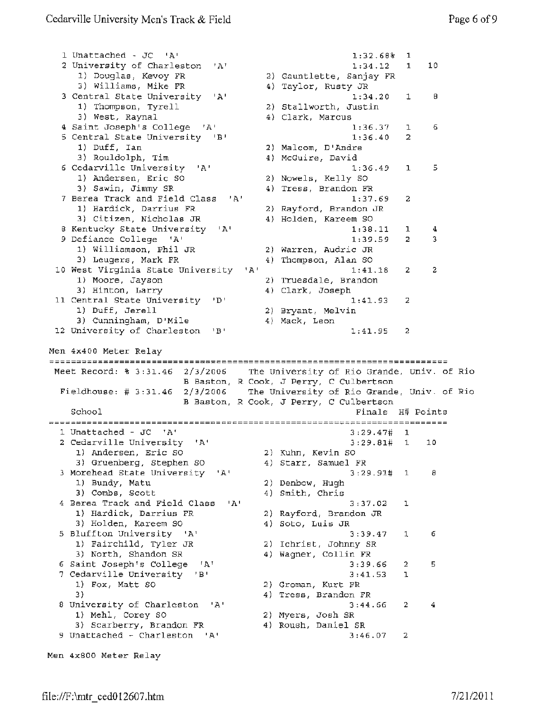1 Unattached - JC 'A' 1:32.68% 1 2 University of Charleston 'A' 1:34.12 1 10 1) Douglas, Kevoy FR 2) Gauntlette, Sanjay FR 3) Williams, **Mike FR**  4) Taylor, Rusty JR 3 Central State University 'A' 1:34.20 1 8 1) Thompson, Tyrell 2) Stallworth, Justin 3) West, Raynal 4) Clark, Marcus **<sup>4</sup>**Saint Joseph's College 'A' 6 1:36.37 1 <sup>5</sup>Central State University 'B' 1:36.40 2 1) Duff, Ian 2) Malcom, D'Andre 3) Rouldolph, Tim 4) McGuire, David 6 Cedarville University 'A' 1:36.49 1 5 1) Andersen, Eric so 2) Nowels, Kelly SO 3) Sawin, Jimmy SR 4) Tress, Brandon FR 7 Berea Track and Field Class 'A' 1:37.69 <sup>2</sup> 1) Hardick, Darrius FR 2) Rayford, Brandon JR 3) Citizen, Nicholas JR 4) Holden, Kareem SO 8 Kentucky State University 'A' 1:38.11 1 4 <sup>9</sup>Defiance College 'A' 3 1:39.59 2 1) Williamson, Phil JR 2) warren, Audrie JR 4) Thompson, Alan SO 3) Leugers, Mark FR 10 West Virginia State University  $1:41.18$ 2 2 1) Moore, Jayson 2) Truesdale, Brandon 3) Hinton, Larry 4) Clark, Joseph 11 Central State University 'D' 1:41.93 2 1) Duff, Jerell 2) Bryant, Melvin 3) Cunningham, D'Mile 4) Mack, Leon 12 University of Charleston 'B' 2 1:41.95 Men 4x400 Meter Relay Meet Record: \$ 3:31.46 2/3/2006 The University of Rio Grande, Univ. of Rio B Baston, R Cook, J Perry, C Culbertson Fieldhouse: # 3:31.46 2/3/2006 The University of Rio Grande, Univ. of Rio B Baston, R Cook, J Perry, C Culbertson School Finals H# Points 1 Unattached - JC 'A' 3:29.47# 1 2 Cedarville University 'A' 3:29.81# 1 10 1) Andersen, Eric SO 2) Kuhn, Kevin so 3) Gruenberg, Stephen so 4) Starr, Samuel FR <sup>3</sup>Morehead State University 'A' 3:29.91# 1 <sup>8</sup> 1) Bundy, Matu 2) Denbow, Hugh 3) Combs, Scott 4) Smith, Chris 4 Berea Track and Field Class 'A' 3:37.02 1 1) Hardick, Darrius FR 2) Rayford, Brandon JR 3) Holden, Kareem SO 4) Soto, Luis JR <sup>5</sup>Bluffton University 'A' 3:39.47 1 <sup>6</sup> 1) Fairchild, Tyler JR 2) Ichrist, Johnny SR 3) North, Shandon SR 4) Wagner, Collin FR 6 saint Joseph's College 'A' 3:39.66 2 5 7 Cedarville University '8' 3:41.53 1 1) Fox, Matt SO 2) Groman, Kurt FR 3) 4) Tress, Brandon FR <sup>8</sup>University of Charleston 'A' 3:44.66 2 4 1) Mehl, Corey SO 2) Myers, Josh SR 3) Scarberry, Brandon FR 4) Roush, Daniel SR 9 Unattached - Charleston 'A' 3:46.07 <sup>2</sup> Men 4x800 Meter Relay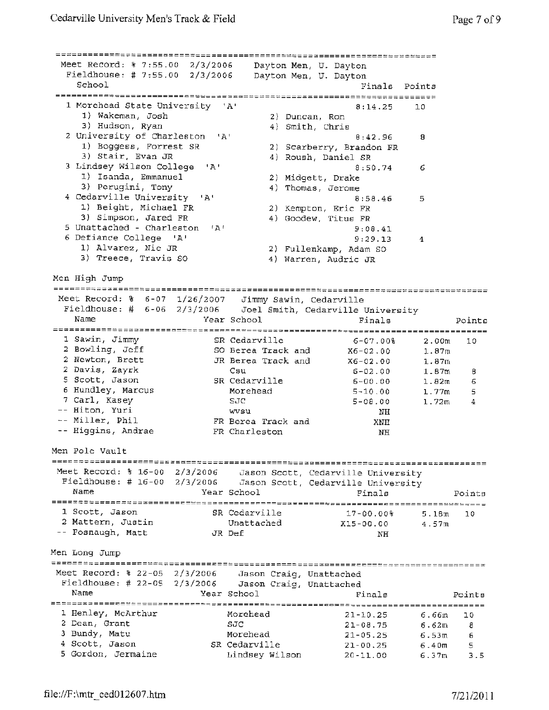| Meet Record: % 7:55.00 2/3/2006                                                                                                                 |                                                |                                     |                                        | ========= <b>=====</b> =============                                 |                   |        |
|-------------------------------------------------------------------------------------------------------------------------------------------------|------------------------------------------------|-------------------------------------|----------------------------------------|----------------------------------------------------------------------|-------------------|--------|
| Fieldhouse: # 7:55.00 2/3/2006                                                                                                                  |                                                |                                     |                                        | Dayton Men, U. Dayton<br>Dayton Men, U. Dayton                       |                   |        |
| School                                                                                                                                          |                                                |                                     |                                        | Finals                                                               | Points            |        |
| 1 Morehead State University 'A'                                                                                                                 |                                                |                                     |                                        | 8:14.25                                                              | 10                |        |
| 1) Wakeman, Josh<br>3) Hudson, Ryan                                                                                                             |                                                |                                     | 2) Duncan, Ron<br>4) Smith, Chris      |                                                                      |                   |        |
| 2 University of Charleston 'A'<br>1) Boggess, Forrest SR<br>3) Stair, Evan JR                                                                   |                                                |                                     |                                        | 8:42.96<br>2) Scarberry, Brandon FR<br>4) Roush, Daniel SR           | 8                 |        |
| 3 Lindsey Wilson College<br>1) Isanda, Emmanuel<br>3) Perugini, Tony                                                                            | י בי                                           |                                     | 2) Midgett, Drake<br>4) Thomas, Jerome | 8:50.74                                                              | 6                 |        |
| 4 Cedarville University 'A'<br>1) Beight, Michael FR<br>3) Simpson, Jared FR                                                                    |                                                |                                     |                                        | 8:58.46<br>2) Kempton, Eric FR<br>4) Goodew, Titus FR                | 5.                |        |
| 5 Unattached - Charleston<br>6 Defiance College 'A'<br>1) Alvarez, Nic JR<br>3) Treece, Travis SO                                               | $^{\dagger}$ A <sup><math>\dagger</math></sup> |                                     |                                        | 9:08.41<br>9:29.13<br>2) Fullenkamp, Adam SO<br>4) Warren, Audric JR | 4                 |        |
| Men High Jump                                                                                                                                   |                                                |                                     |                                        |                                                                      |                   |        |
|                                                                                                                                                 |                                                |                                     |                                        |                                                                      |                   |        |
| Meet Record: % 6-07 1/26/2007 Jimmy Sawin, Cedarville<br>Fieldhouse: # $6-06$ 2/3/2006 Joel Smith, Cedarville University                        |                                                |                                     |                                        |                                                                      |                   |        |
| Name                                                                                                                                            |                                                | Year School                         |                                        | Finals                                                               |                   | Points |
| 1 Sawin, Jimmy<br>2 Bowling, Jeff                                                                                                               |                                                | SR Cedarville<br>SO Berea Track and |                                        | $6 - 07.00$<br>X6-02.00                                              | 2.00m<br>1.87m    | 10     |
| 2 Newton, Brett                                                                                                                                 |                                                | JR Berea Track and                  |                                        | X6-02.00                                                             | 1.87m             |        |
| 2 Davis, Zayrk                                                                                                                                  |                                                | Csu                                 |                                        | 6-02.00                                                              | 1.87m             | 8      |
| 5 Scott, Jason<br>6 Hundley, Marcus                                                                                                             |                                                | SR Cedarville<br>Morehead           |                                        | 6-00.00                                                              | 1.82 <sub>m</sub> | 6      |
| 7 Carl, Kasey                                                                                                                                   |                                                | SJC                                 |                                        | $5 - 10.00$<br>$5 - 08.00$                                           | 1.77m<br>1.72m    | 5<br>4 |
| -- Hiton, Yuri                                                                                                                                  |                                                | wvsu                                |                                        | NH.                                                                  |                   |        |
| -- Miller, Phil                                                                                                                                 |                                                | FR Berea Track and                  |                                        | XNH                                                                  |                   |        |
| -- Higgins, Andrae                                                                                                                              |                                                | FR Charleston                       |                                        | NH                                                                   |                   |        |
| Men Pole Vault                                                                                                                                  |                                                |                                     |                                        |                                                                      |                   |        |
| Meet Record: $\frac{1}{2}$ 16-00 2/3/2006 Jason Scott, Cedarville University<br>Fieldhouse: # 16-00 2/3/2006 Jason Scott, Cedarville University |                                                |                                     |                                        |                                                                      |                   |        |
| Name                                                                                                                                            |                                                | Year School                         |                                        | Finals                                                               |                   | Points |
| 1 Scott, Jason                                                                                                                                  |                                                | SR Cedarville                       |                                        | 17-00.00%                                                            | 5.18 <sub>m</sub> | 10     |
| 2 Mattern, Justin<br>-- Fosnaugh, Matt                                                                                                          |                                                | Unattached<br>JR Def                |                                        | $X15 - 00.00$<br>NH                                                  | 4.57m             |        |
| Men Long Jump                                                                                                                                   |                                                |                                     |                                        |                                                                      |                   |        |
| Meet Record: % 22-05 2/3/2006                                                                                                                   |                                                | Jason Craig, Unattached             |                                        |                                                                      |                   |        |
| Fieldhouse: # 22-05 2/3/2006<br>Name                                                                                                            |                                                | Jason Craig, Unattached             |                                        |                                                                      |                   |        |
|                                                                                                                                                 |                                                | Year School                         |                                        | Finals                                                               |                   | Points |
| 1 Henley, McArthur                                                                                                                              |                                                | Morehead                            |                                        | $21 - 10, 25$                                                        | 6.66m             | 10     |
| 2 Dean, Grant<br>3 Bundy, Matu                                                                                                                  |                                                | SJC                                 |                                        | $21 - 08.75$                                                         | 6.62m             | 8      |
| 4 Scott, Jason                                                                                                                                  |                                                | Morehead<br>SR Cedarville           |                                        | $21 - 05.25$<br>$21 - 00.25$                                         | 6.53m<br>6.40m    | 6<br>5 |
| 5 Gordon, Jermaine                                                                                                                              |                                                | Lindsey Wilson                      |                                        | $20 - 11.00$                                                         | 6.37m             | 3.5    |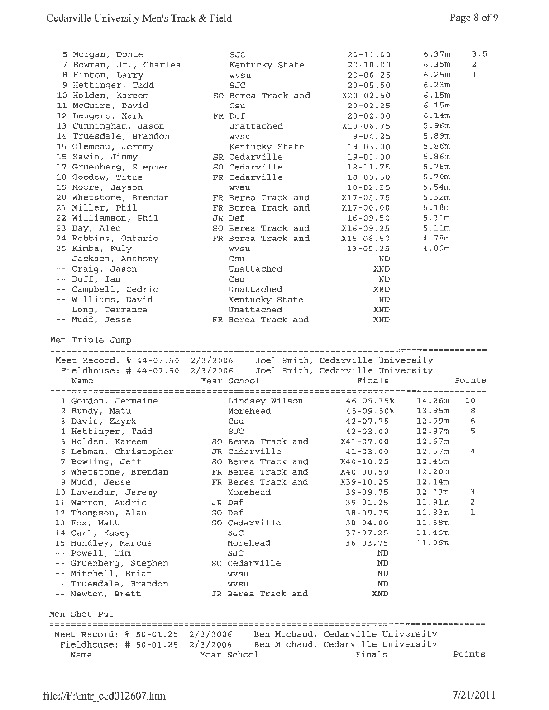| 5 Morgan, Donte<br>7 Bowman, Jr., Charles<br>8 Hinton, Larry<br>9 Hettinger, Tadd | SJC<br>Kentucky State<br>wvsu<br>SJC                                                                                                      | 6.37m<br>20-11.00<br>6.35m<br>$20 - 10.00$<br>6.25m<br>$20 - 06.25$<br>6.23m<br>$20 - 05.50$                      | 3.5<br>2<br>ı |
|-----------------------------------------------------------------------------------|-------------------------------------------------------------------------------------------------------------------------------------------|-------------------------------------------------------------------------------------------------------------------|---------------|
| 10 Holden, Kareem                                                                 | SO Berea Track and                                                                                                                        | 6.15m<br>$X20 - 02.50$                                                                                            |               |
| 11 McGuire, David                                                                 | Csu                                                                                                                                       | 6.15m<br>$20 - 02.25$                                                                                             |               |
| 12 Leugers, Mark                                                                  | FR Def                                                                                                                                    | 6.14m<br>$20 - 02.00$                                                                                             |               |
| 13 Cunningham, Jason                                                              | Unattached                                                                                                                                | 5.96m<br>X19-06.75                                                                                                |               |
| 14 Truesdale, Brandon                                                             | wvsu                                                                                                                                      | 5.89m<br>$19 - 04.25$                                                                                             |               |
| 15 Glemeau, Jeremy                                                                | Kentucky State                                                                                                                            | 5.86m<br>$19 - 03.00$                                                                                             |               |
| 15 Sawin, Jimmy                                                                   | SR Cedarville                                                                                                                             | 5.86m<br>$19 - 03.00$                                                                                             |               |
| 17 Gruenberg, Stephen                                                             | SO Cedarville                                                                                                                             | 5.78m<br>$18 - 11.75$                                                                                             |               |
| 18 Goodew, Titus                                                                  | FR Cedarville                                                                                                                             | 5.70m<br>$18 - 08.50$                                                                                             |               |
| 19 Moore, Jayson                                                                  | wvsu                                                                                                                                      | $18 - 02.25$<br>5.54m                                                                                             |               |
| 20 Whetstone, Brendan                                                             | FR Berea Track and                                                                                                                        | 5.32m<br>$X17 - 05.75$                                                                                            |               |
| 21 Miller, Phil                                                                   | FR Berea Track and                                                                                                                        | 5.18m<br>X17-00.00                                                                                                |               |
| 22 Williamson, Phil                                                               | JR Def                                                                                                                                    | 5.11m<br>$16 - 09.50$                                                                                             |               |
| 23 Day, Alec                                                                      | SO Berea Track and                                                                                                                        | 5.11m<br>$X16 - 09.25$                                                                                            |               |
| 24 Robbins, Ontario                                                               | FR Berea Track and                                                                                                                        | X15-08.50<br>4.78m                                                                                                |               |
| 25 Kimba, Kuly                                                                    | wvsu                                                                                                                                      | 4.09m<br>$13 - 05.25$                                                                                             |               |
| -- Jackson, Anthony                                                               | Csu                                                                                                                                       | ND                                                                                                                |               |
| -- Craig, Jason                                                                   | Unattached                                                                                                                                | XND                                                                                                               |               |
| -- Duff, Ian                                                                      | Csu                                                                                                                                       | ND                                                                                                                |               |
| -- Campbell, Cedric<br>-- Williams, David                                         | Unattached                                                                                                                                | XND<br>ND                                                                                                         |               |
| -- Long, Terrance                                                                 | Kentucky State<br>Unattached                                                                                                              | <b>XND</b>                                                                                                        |               |
| -- Mudd, Jesse                                                                    | FR Berea Track and                                                                                                                        | <b>XND</b>                                                                                                        |               |
| Men Triple Jump                                                                   |                                                                                                                                           |                                                                                                                   |               |
| Fieldhouse: # $44-07.50$ 2/3/2006<br>Name                                         | Year School                                                                                                                               | Meet Record: % 44-07.50 2/3/2006 Joel Smith, Cedarville University<br>Joel Smith, Cedarville University<br>Finals | Points        |
|                                                                                   |                                                                                                                                           |                                                                                                                   |               |
| 1 Gordon, Jermaine                                                                | Lindsey Wilson                                                                                                                            | 46-09.75%<br>14.26m                                                                                               | 10            |
| 2 Bundy, Matu                                                                     | Morehead                                                                                                                                  | 45-09.50%<br>13.95m                                                                                               | 8             |
| 3 Davis, Zayrk                                                                    | Csu                                                                                                                                       | $42 - 07.75$<br>12.99 <sub>m</sub>                                                                                | 6             |
| 4 Hettinger, Tadd                                                                 | SJC                                                                                                                                       | 42-03.00<br>12.87m                                                                                                | 5             |
| 5 Holden, Kareem                                                                  | SO Berea Track and                                                                                                                        | $X41-07.00$<br>12.67m                                                                                             |               |
| 6 Lehman, Christopher                                                             | JR Cedarville                                                                                                                             | $41 - 03.00$<br>12.57m                                                                                            | 4             |
| 7 Bowling, Jeff                                                                   | SO Berea Track and                                                                                                                        | 12.45m<br>$X40 - 10.25$                                                                                           |               |
| 8 Whetstone, Brendan                                                              | FR Berea Track and                                                                                                                        | 12.20m<br>$X40 - 00.50$                                                                                           |               |
| 9 Mudd, Jesse                                                                     | FR Berea Track and                                                                                                                        | X39-10.25<br>12.14m                                                                                               |               |
| 10 Lavendar, Jeremy                                                               | Morehead                                                                                                                                  | 12.13m<br>$39 - 09.75$                                                                                            | 3             |
| 11 Warren, Audric                                                                 | JR Def                                                                                                                                    | 11.91m<br>$39 - 01.25$                                                                                            | 2             |
| 12 Thompson, Alan                                                                 | SO Def                                                                                                                                    | 11.83m<br>$38 - 09.75$                                                                                            | 1             |
| 13 Fox, Matt                                                                      | SO Cedarville                                                                                                                             | 11.68m<br>$38 - 04.00$                                                                                            |               |
| 14 Carl, Kasey                                                                    | SJC                                                                                                                                       | 11.46m<br>$37 - 07.25$                                                                                            |               |
| 15 Hundley, Marcus                                                                | Morehead<br>SJC                                                                                                                           | 11.06m<br>$36 - 03.75$<br>ND                                                                                      |               |
| -- Powell, Tim                                                                    |                                                                                                                                           | ND                                                                                                                |               |
| -- Gruenberg, Stephen                                                             | SO Cedarville<br>wysu                                                                                                                     | ND                                                                                                                |               |
| -- Mitchell, Brian                                                                | wvsu                                                                                                                                      | $_{\rm MD}$                                                                                                       |               |
| -- Truesdale, Brandon<br>-- Newton, Brett                                         | JR Berea Track and                                                                                                                        | XND                                                                                                               |               |
| Men Shot Put                                                                      |                                                                                                                                           |                                                                                                                   |               |
|                                                                                   |                                                                                                                                           |                                                                                                                   |               |
|                                                                                   | Meet Record: % 50-01.25 2/3/2006 Ben Michaud, Cedarville University<br>Fieldhouse: # 50-01.25 2/3/2006 Ben Michaud, Cedarville University |                                                                                                                   |               |